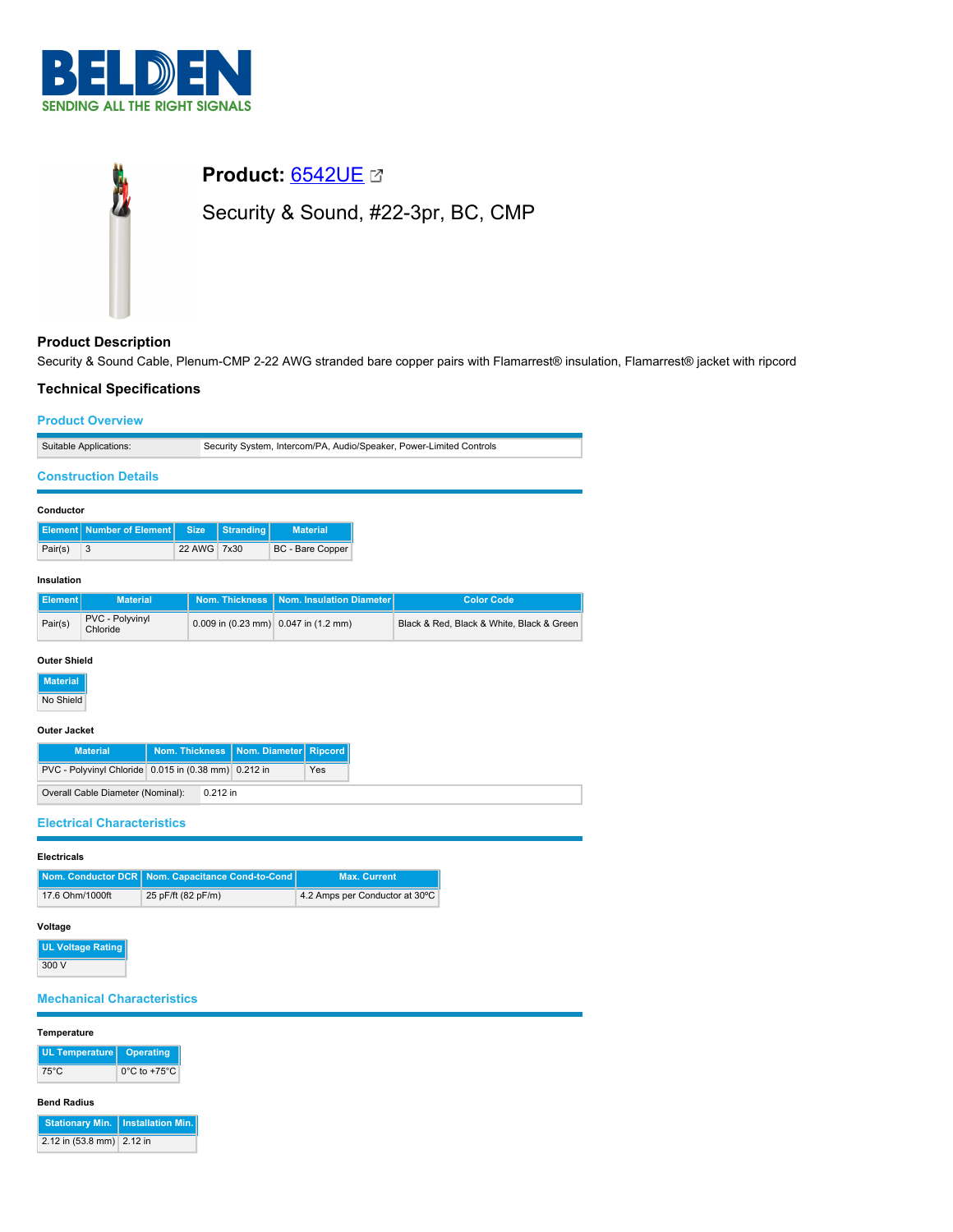



# **Product Description**

Security & Sound Cable, Plenum-CMP 2-22 AWG stranded bare copper pairs with Flamarrest® insulation, Flamarrest® jacket with ripcord

# **Technical Specifications**

| <b>Product Overview</b>     |                                                                     |  |  |
|-----------------------------|---------------------------------------------------------------------|--|--|
| Suitable Applications:      | Security System, Intercom/PA, Audio/Speaker, Power-Limited Controls |  |  |
| <b>Construction Details</b> |                                                                     |  |  |

| Conductor |                                                 |             |  |                  |  |
|-----------|-------------------------------------------------|-------------|--|------------------|--|
|           | <b>Element Number of Element Size Stranding</b> |             |  | <b>Material</b>  |  |
| Pair(s)   |                                                 | 22 AWG 7x30 |  | BC - Bare Copper |  |

## **Insulation**

| l Element I | <b>Material</b>             |                                                          | Nom. Thickness   Nom. Insulation Diameter | <b>Color Code</b>                         |
|-------------|-----------------------------|----------------------------------------------------------|-------------------------------------------|-------------------------------------------|
| Pair(s)     | PVC - Polyvinyl<br>Chloride | 0.009 in $(0.23 \text{ mm})$ 0.047 in $(1.2 \text{ mm})$ |                                           | Black & Red. Black & White, Black & Green |

## **Outer Shield**

| <b>Material</b> |
|-----------------|
| No Shield       |

## **Outer Jacket**

| <b>Material</b>                                      |  |            | Nom. Thickness   Nom. Diameter   Ripcord |     |
|------------------------------------------------------|--|------------|------------------------------------------|-----|
| PVC - Polyvinyl Chloride 0.015 in (0.38 mm) 0.212 in |  |            |                                          | Yes |
| Overall Cable Diameter (Nominal):                    |  | $0.212$ in |                                          |     |

## **Electrical Characteristics**

## **Electricals**

|                 | Nom. Conductor DCR   Nom. Capacitance Cond-to-Cond | <b>Max. Current</b>            |
|-----------------|----------------------------------------------------|--------------------------------|
| 17.6 Ohm/1000ft | 25 pF/ft (82 pF/m)                                 | 4.2 Amps per Conductor at 30°C |

# **Voltage**

**UL Voltage Rating** 300 V

# **Mechanical Characteristics**

## **Temperature**

| UL Temperature   Operating |                                   |
|----------------------------|-----------------------------------|
| 75°C                       | $0^{\circ}$ C to +75 $^{\circ}$ C |

# **Bend Radius**

|                           | Stationary Min.   Installation Min. |
|---------------------------|-------------------------------------|
| 2.12 in (53.8 mm) 2.12 in |                                     |